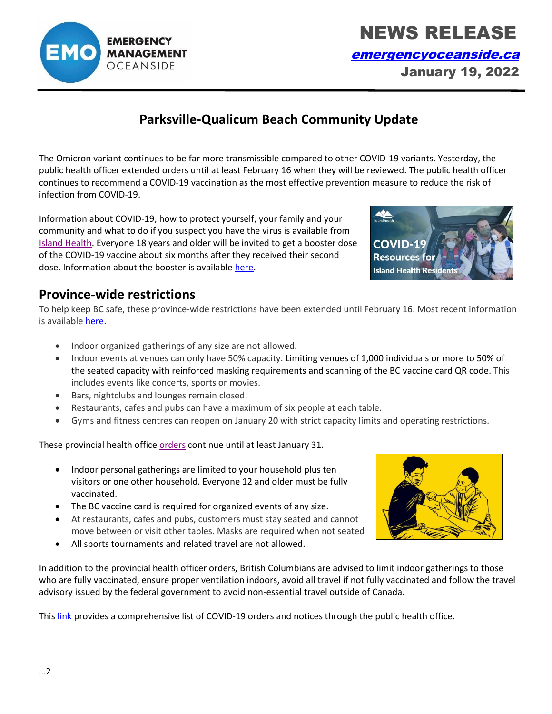In addition to the provincial health officer orders, British Columbians are advised to limit indoor gatherings to those who are fully vaccinated, ensure proper ventilation indoors, avoid all travel if not fully vaccinated and follow the travel advisory issued by the federal government to avoid non-essential travel outside of Canada.

Thi[s link](https://www2.gov.bc.ca/gov/content/health/about-bc-s-health-care-system/office-of-the-provincial-health-officer/current-health-topics/covid-19-novel-coronavirus) provides a comprehensive list of COVID-19 orders and notices through the public health office.

#### **Province-wide restrictions**

infection from COVID-19.

To help keep BC safe, these province-wide restrictions have been extended until February 16. Most recent information is availabl[e here.](https://www2.gov.bc.ca/gov/content/covid-19/info/restrictions)

**Parksville-Qualicum Beach Community Update**

The Omicron variant continues to be far more transmissible compared to other COVID-19 variants. Yesterday, the public health officer extended orders until at least February 16 when they will be reviewed. The public health officer continues to recommend a COVID-19 vaccination as the most effective prevention measure to reduce the risk of

• Indoor organized gatherings of any size are not allowed.

Information about COVID-19, how to protect yourself, your family and your community and what to do if you suspect you have the virus is available from [Island Health.](https://www.islandhealth.ca/learn-about-health/covid-19) Everyone 18 years and older will be invited to get a booster dose of the COVID-19 vaccine about six months after they received their second

- Indoor events at venues can only have 50% capacity. Limiting venues of 1,000 individuals or more to 50% of the seated capacity with reinforced masking requirements and scanning of the BC vaccine card QR code. This includes events like concerts, sports or movies.
- Bars, nightclubs and lounges remain closed.

dose. Information about the booster is availabl[e here.](https://www2.gov.bc.ca/gov/content/covid-19/vaccine/booster)

- Restaurants, cafes and pubs can have a maximum of six people at each table.
- Gyms and fitness centres can reopen on January 20 with strict capacity limits and operating restrictions.

These provincial health office [orders](https://news.gov.bc.ca/releases/2021HLTH0230-002414) continue until at least January 31.

- Indoor personal gatherings are limited to your household plus ten visitors or one other household. Everyone 12 and older must be fully vaccinated.
- The BC vaccine card is required for organized events of any size.
- At restaurants, cafes and pubs, customers must stay seated and cannot move between or visit other tables. Masks are required when not seated
- All sports tournaments and related travel are not allowed.

**EMERGENCY MANAGEMENT** OCEANSIDE